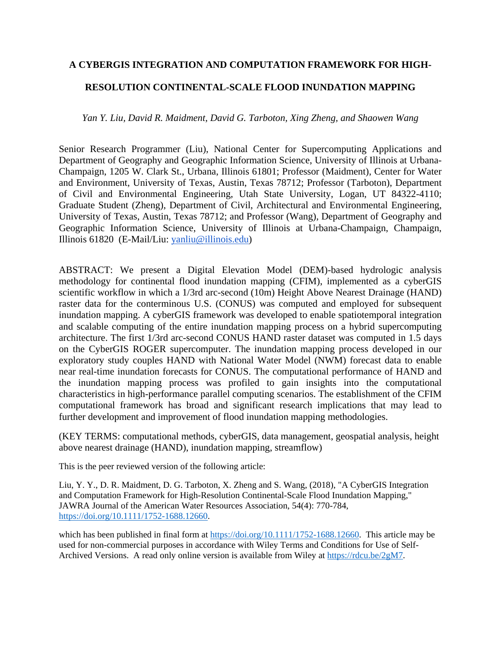# **A CYBERGIS INTEGRATION AND COMPUTATION FRAMEWORK FOR HIGH-**

# **RESOLUTION CONTINENTAL-SCALE FLOOD INUNDATION MAPPING**

## *Yan Y. Liu, David R. Maidment, David G. Tarboton, Xing Zheng, and Shaowen Wang*

Senior Research Programmer (Liu), National Center for Supercomputing Applications and Department of Geography and Geographic Information Science, University of Illinois at Urbana-Champaign, 1205 W. Clark St., Urbana, Illinois 61801; Professor (Maidment), Center for Water and Environment, University of Texas, Austin, Texas 78712; Professor (Tarboton), Department of Civil and Environmental Engineering, Utah State University, Logan, UT 84322-4110; Graduate Student (Zheng), Department of Civil, Architectural and Environmental Engineering, University of Texas, Austin, Texas 78712; and Professor (Wang), Department of Geography and Geographic Information Science, University of Illinois at Urbana-Champaign, Champaign, Illinois 61820 (E-Mail/Liu: [yanliu@illinois.edu\)](mailto:yanliu@illinois.edu)

ABSTRACT: We present a Digital Elevation Model (DEM)-based hydrologic analysis methodology for continental flood inundation mapping (CFIM), implemented as a cyberGIS scientific workflow in which a 1/3rd arc-second (10m) Height Above Nearest Drainage (HAND) raster data for the conterminous U.S. (CONUS) was computed and employed for subsequent inundation mapping. A cyberGIS framework was developed to enable spatiotemporal integration and scalable computing of the entire inundation mapping process on a hybrid supercomputing architecture. The first 1/3rd arc-second CONUS HAND raster dataset was computed in 1.5 days on the CyberGIS ROGER supercomputer. The inundation mapping process developed in our exploratory study couples HAND with National Water Model (NWM) forecast data to enable near real-time inundation forecasts for CONUS. The computational performance of HAND and the inundation mapping process was profiled to gain insights into the computational characteristics in high-performance parallel computing scenarios. The establishment of the CFIM computational framework has broad and significant research implications that may lead to further development and improvement of flood inundation mapping methodologies.

(KEY TERMS: computational methods, cyberGIS, data management, geospatial analysis, height above nearest drainage (HAND), inundation mapping, streamflow)

This is the peer reviewed version of the following article:

Liu, Y. Y., D. R. Maidment, D. G. Tarboton, X. Zheng and S. Wang, (2018), "A CyberGIS Integration and Computation Framework for High-Resolution Continental-Scale Flood Inundation Mapping," JAWRA Journal of the American Water Resources Association, 54(4): 770-784, [https://doi.org/10.1111/1752-1688.12660.](https://doi.org/10.1111/1752-1688.12660)

which has been published in final form at [https://doi.org/10.1111/1752-1688.12660.](https://doi.org/10.1111/1752-1688.12660) This article may be used for non-commercial purposes in accordance with Wiley Terms and Conditions for Use of Self-Archived Versions. A read only online version is available from Wiley at [https://rdcu.be/2gM7.](https://rdcu.be/2gM7)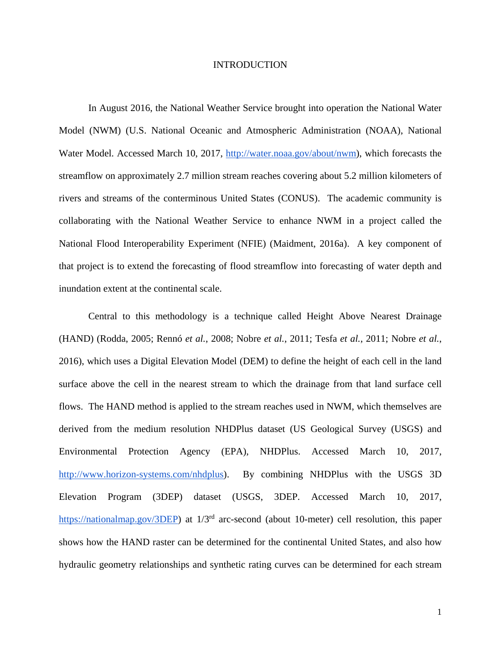#### INTRODUCTION

In August 2016, the National Weather Service brought into operation the National Water Model (NWM) (U.S. National Oceanic and Atmospheric Administration (NOAA), National Water Model. Accessed March 10, 2017[,](http://water.noaa.gov/about/nwm) [http://water.noaa.gov/about/nwm\)](http://water.noaa.gov/about/nwm), which forecasts the streamflow on approximately 2.7 million stream reaches covering about 5.2 million kilometers of rivers and streams of the conterminous United States (CONUS). The academic community is collaborating with the National Weather Service to enhance NWM in a project called the National Flood Interoperability Experiment (NFIE) (Maidment, 2016a). A key component of that project is to extend the forecasting of flood streamflow into forecasting of water depth and inundation extent at the continental scale.

Central to this methodology is a technique called Height Above Nearest Drainage (HAND) (Rodda, 2005; Rennó *et al.*, 2008; Nobre *et al.*, 2011; Tesfa *et al.*, 2011; Nobre *et al.*, 2016), which uses a Digital Elevation Model (DEM) to define the height of each cell in the land surface above the cell in the nearest stream to which the drainage from that land surface cell flows. The HAND method is applied to the stream reaches used in NWM, which themselves are derived from the medium resolution NHDPlus dataset (US Geological Survey (USGS) and Environmental Protection Agency (EPA), NHDPlus. Accessed March 10, 2017[,](http://www.horizon-systems.com/nhdplus) [http://www.horizon-systems.com/nhdplus\)](http://www.horizon-systems.com/nhdplus). By combining NHDPlus with the USGS 3D Elevation Program (3DEP) dataset (USGS, 3DEP. Accessed March 10, 2017[,](https://nationalmap.gov/3DEP/) [https://nationalmap.gov/3DEP\)](https://nationalmap.gov/3DEP/) at 1/3<sup>rd</sup> arc-second (about 10-meter) cell resolution, this paper shows how the HAND raster can be determined for the continental United States, and also how hydraulic geometry relationships and synthetic rating curves can be determined for each stream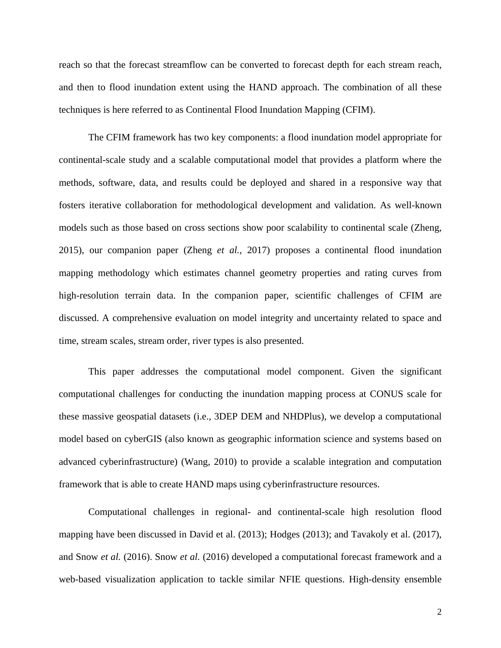reach so that the forecast streamflow can be converted to forecast depth for each stream reach, and then to flood inundation extent using the HAND approach. The combination of all these techniques is here referred to as Continental Flood Inundation Mapping (CFIM).

The CFIM framework has two key components: a flood inundation model appropriate for continental-scale study and a scalable computational model that provides a platform where the methods, software, data, and results could be deployed and shared in a responsive way that fosters iterative collaboration for methodological development and validation. As well-known models such as those based on cross sections show poor scalability to continental scale (Zheng, 2015), our companion paper (Zheng *et al.*, 2017) proposes a continental flood inundation mapping methodology which estimates channel geometry properties and rating curves from high-resolution terrain data. In the companion paper, scientific challenges of CFIM are discussed. A comprehensive evaluation on model integrity and uncertainty related to space and time, stream scales, stream order, river types is also presented.

This paper addresses the computational model component. Given the significant computational challenges for conducting the inundation mapping process at CONUS scale for these massive geospatial datasets (i.e., 3DEP DEM and NHDPlus), we develop a computational model based on cyberGIS (also known as geographic information science and systems based on advanced cyberinfrastructure) (Wang, 2010) to provide a scalable integration and computation framework that is able to create HAND maps using cyberinfrastructure resources.

Computational challenges in regional- and continental-scale high resolution flood mapping have been discussed in David et al. (2013); Hodges (2013); and Tavakoly et al. (2017), and Snow *et al.* (2016). Snow *et al.* (2016) developed a computational forecast framework and a web-based visualization application to tackle similar NFIE questions. High-density ensemble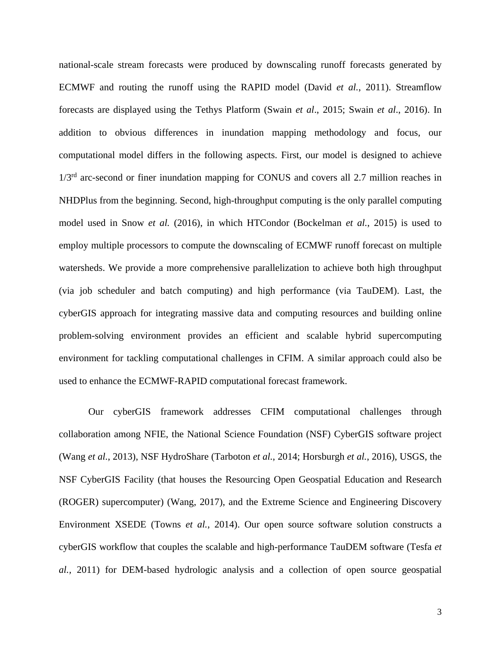national-scale stream forecasts were produced by downscaling runoff forecasts generated by ECMWF and routing the runoff using the RAPID model (David *et al.*, 2011). Streamflow forecasts are displayed using the Tethys Platform (Swain *et al*., 2015; Swain *et al*., 2016). In addition to obvious differences in inundation mapping methodology and focus, our computational model differs in the following aspects. First, our model is designed to achieve  $1/3<sup>rd</sup>$  arc-second or finer inundation mapping for CONUS and covers all 2.7 million reaches in NHDPlus from the beginning. Second, high-throughput computing is the only parallel computing model used in Snow *et al.* (2016), in which HTCondor (Bockelman *et al.*, 2015) is used to employ multiple processors to compute the downscaling of ECMWF runoff forecast on multiple watersheds. We provide a more comprehensive parallelization to achieve both high throughput (via job scheduler and batch computing) and high performance (via TauDEM). Last, the cyberGIS approach for integrating massive data and computing resources and building online problem-solving environment provides an efficient and scalable hybrid supercomputing environment for tackling computational challenges in CFIM. A similar approach could also be used to enhance the ECMWF-RAPID computational forecast framework.

Our cyberGIS framework addresses CFIM computational challenges through collaboration among NFIE, the National Science Foundation (NSF) CyberGIS software project (Wang *et al.*, 2013), NSF HydroShare (Tarboton *et al.*, 2014; Horsburgh *et al.*, 2016), USGS, the NSF CyberGIS Facility (that houses the Resourcing Open Geospatial Education and Research (ROGER) supercomputer) (Wang, 2017), and the Extreme Science and Engineering Discovery Environment XSEDE (Towns *et al.*, 2014). Our open source software solution constructs a cyberGIS workflow that couples the scalable and high-performance TauDEM software (Tesfa *et al.,* 2011) for DEM-based hydrologic analysis and a collection of open source geospatial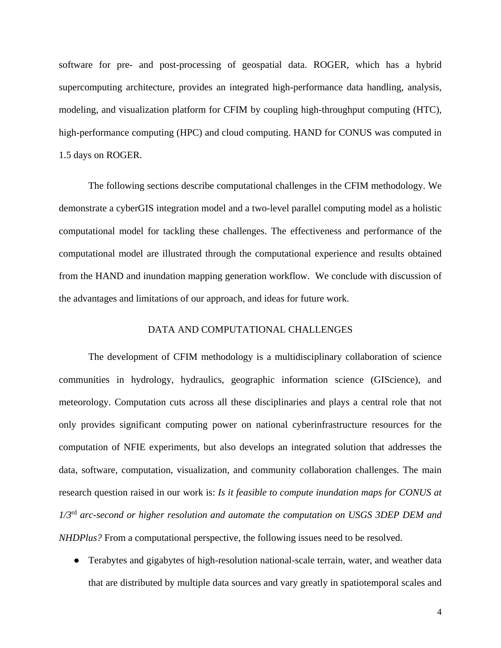software for pre- and post-processing of geospatial data. ROGER, which has a hybrid supercomputing architecture, provides an integrated high-performance data handling, analysis, modeling, and visualization platform for CFIM by coupling high-throughput computing (HTC), high-performance computing (HPC) and cloud computing. HAND for CONUS was computed in 1.5 days on ROGER.

The following sections describe computational challenges in the CFIM methodology. We demonstrate a cyberGIS integration model and a two-level parallel computing model as a holistic computational model for tackling these challenges. The effectiveness and performance of the computational model are illustrated through the computational experience and results obtained from the HAND and inundation mapping generation workflow. We conclude with discussion of the advantages and limitations of our approach, and ideas for future work.

## DATA AND COMPUTATIONAL CHALLENGES

The development of CFIM methodology is a multidisciplinary collaboration of science communities in hydrology, hydraulics, geographic information science (GIScience), and meteorology. Computation cuts across all these disciplinaries and plays a central role that not only provides significant computing power on national cyberinfrastructure resources for the computation of NFIE experiments, but also develops an integrated solution that addresses the data, software, computation, visualization, and community collaboration challenges. The main research question raised in our work is: *Is it feasible to compute inundation maps for CONUS at 1/3*rd *arc-second or higher resolution and automate the computation on USGS 3DEP DEM and NHDPlus?* From a computational perspective, the following issues need to be resolved.

• Terabytes and gigabytes of high-resolution national-scale terrain, water, and weather data that are distributed by multiple data sources and vary greatly in spatiotemporal scales and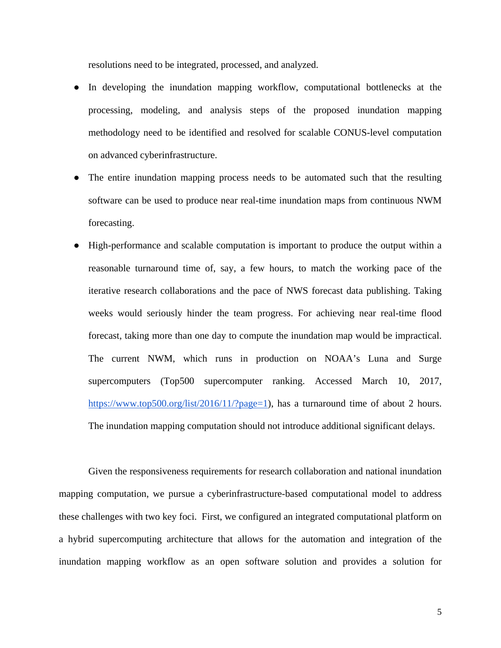resolutions need to be integrated, processed, and analyzed.

- In developing the inundation mapping workflow, computational bottlenecks at the processing, modeling, and analysis steps of the proposed inundation mapping methodology need to be identified and resolved for scalable CONUS-level computation on advanced cyberinfrastructure.
- The entire inundation mapping process needs to be automated such that the resulting software can be used to produce near real-time inundation maps from continuous NWM forecasting.
- High-performance and scalable computation is important to produce the output within a reasonable turnaround time of, say, a few hours, to match the working pace of the iterative research collaborations and the pace of NWS forecast data publishing. Taking weeks would seriously hinder the team progress. For achieving near real-time flood forecast, taking more than one day to compute the inundation map would be impractical. The current NWM, which runs in production on NOAA's Luna and Surge supercomputers (Top500 supercomputer ranking. Accessed March 10, 2017, [https://www.top500.org/list/2016/11/?page=1\)](https://www.top500.org/list/2016/11/?page=1), has a turnaround time of about 2 hours. The inundation mapping computation should not introduce additional significant delays.

Given the responsiveness requirements for research collaboration and national inundation mapping computation, we pursue a cyberinfrastructure-based computational model to address these challenges with two key foci. First, we configured an integrated computational platform on a hybrid supercomputing architecture that allows for the automation and integration of the inundation mapping workflow as an open software solution and provides a solution for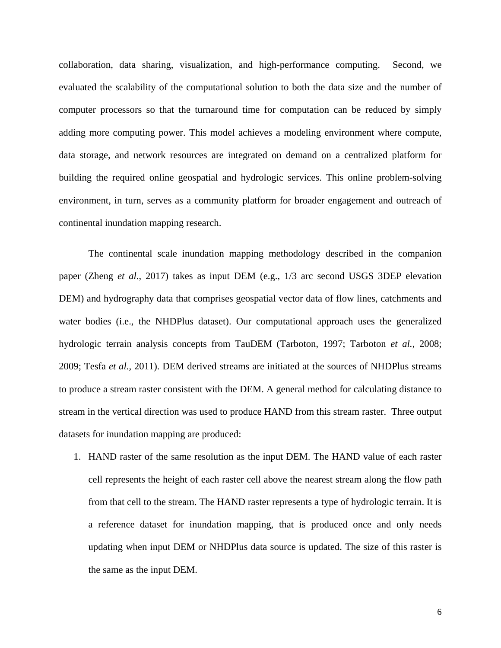collaboration, data sharing, visualization, and high-performance computing. Second, we evaluated the scalability of the computational solution to both the data size and the number of computer processors so that the turnaround time for computation can be reduced by simply adding more computing power. This model achieves a modeling environment where compute, data storage, and network resources are integrated on demand on a centralized platform for building the required online geospatial and hydrologic services. This online problem-solving environment, in turn, serves as a community platform for broader engagement and outreach of continental inundation mapping research.

The continental scale inundation mapping methodology described in the companion paper (Zheng *et al.*, 2017) takes as input DEM (e.g., 1/3 arc second USGS 3DEP elevation DEM) and hydrography data that comprises geospatial vector data of flow lines, catchments and water bodies (i.e., the NHDPlus dataset). Our computational approach uses the generalized hydrologic terrain analysis concepts from TauDEM (Tarboton, 1997; Tarboton *et al.*, 2008; 2009; Tesfa *et al.,* 2011). DEM derived streams are initiated at the sources of NHDPlus streams to produce a stream raster consistent with the DEM. A general method for calculating distance to stream in the vertical direction was used to produce HAND from this stream raster. Three output datasets for inundation mapping are produced:

1. HAND raster of the same resolution as the input DEM. The HAND value of each raster cell represents the height of each raster cell above the nearest stream along the flow path from that cell to the stream. The HAND raster represents a type of hydrologic terrain. It is a reference dataset for inundation mapping, that is produced once and only needs updating when input DEM or NHDPlus data source is updated. The size of this raster is the same as the input DEM.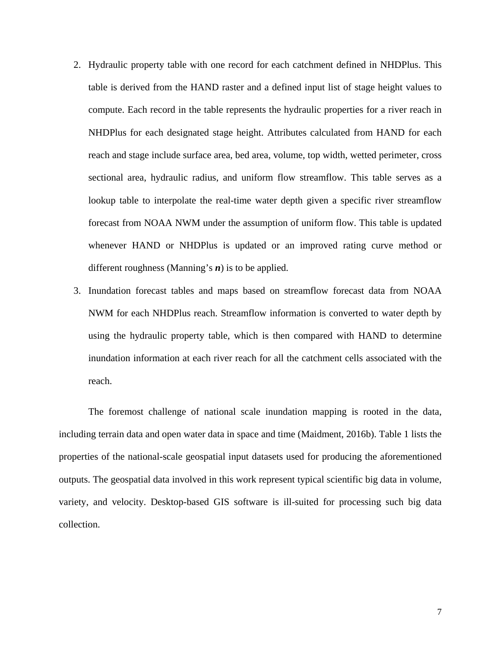- 2. Hydraulic property table with one record for each catchment defined in NHDPlus. This table is derived from the HAND raster and a defined input list of stage height values to compute. Each record in the table represents the hydraulic properties for a river reach in NHDPlus for each designated stage height. Attributes calculated from HAND for each reach and stage include surface area, bed area, volume, top width, wetted perimeter, cross sectional area, hydraulic radius, and uniform flow streamflow. This table serves as a lookup table to interpolate the real-time water depth given a specific river streamflow forecast from NOAA NWM under the assumption of uniform flow. This table is updated whenever HAND or NHDPlus is updated or an improved rating curve method or different roughness (Manning's *n*) is to be applied.
- 3. Inundation forecast tables and maps based on streamflow forecast data from NOAA NWM for each NHDPlus reach. Streamflow information is converted to water depth by using the hydraulic property table, which is then compared with HAND to determine inundation information at each river reach for all the catchment cells associated with the reach.

The foremost challenge of national scale inundation mapping is rooted in the data, including terrain data and open water data in space and time (Maidment, 2016b). Table 1 lists the properties of the national-scale geospatial input datasets used for producing the aforementioned outputs. The geospatial data involved in this work represent typical scientific big data in volume, variety, and velocity. Desktop-based GIS software is ill-suited for processing such big data collection.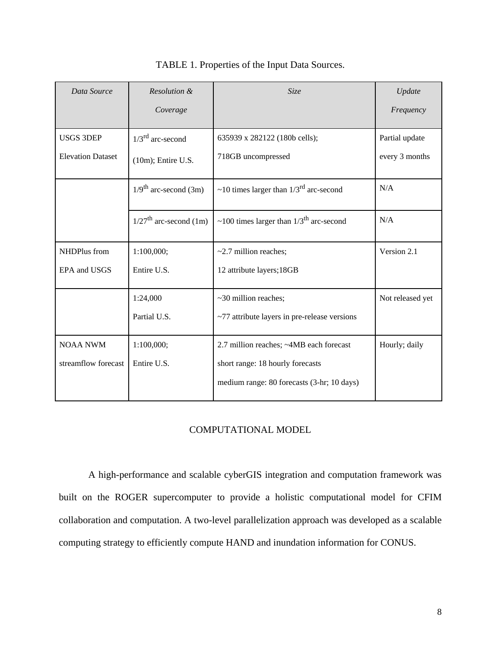| Data Source              | Resolution &                         | Size                                                  | Update           |
|--------------------------|--------------------------------------|-------------------------------------------------------|------------------|
|                          | Coverage                             |                                                       | Frequency        |
| <b>USGS 3DEP</b>         | $1/3^{\text{rd}}$ arc-second         | 635939 x 282122 (180b cells);                         | Partial update   |
| <b>Elevation Dataset</b> | $(10m)$ ; Entire U.S.                | 718GB uncompressed                                    | every 3 months   |
|                          | $1/9^{\text{th}}$ arc-second (3m)    | ~10 times larger than $1/3^{rd}$ arc-second           | N/A              |
|                          | $1/27$ <sup>th</sup> arc-second (1m) | ~100 times larger than $1/3$ <sup>th</sup> arc-second | N/A              |
| NHDPlus from             | 1:100,000;                           | $\sim$ 2.7 million reaches;                           | Version 2.1      |
| EPA and USGS             | Entire U.S.                          | 12 attribute layers; 18GB                             |                  |
|                          | 1:24,000                             | ~30 million reaches;                                  | Not released yet |
|                          | Partial U.S.                         | ~77 attribute layers in pre-release versions          |                  |
| <b>NOAA NWM</b>          | 1:100,000;                           | 2.7 million reaches; ~4MB each forecast               | Hourly; daily    |
| streamflow forecast      | Entire U.S.                          | short range: 18 hourly forecasts                      |                  |
|                          |                                      | medium range: 80 forecasts (3-hr; 10 days)            |                  |

TABLE 1. Properties of the Input Data Sources.

# COMPUTATIONAL MODEL

A high-performance and scalable cyberGIS integration and computation framework was built on the ROGER supercomputer to provide a holistic computational model for CFIM collaboration and computation. A two-level parallelization approach was developed as a scalable computing strategy to efficiently compute HAND and inundation information for CONUS.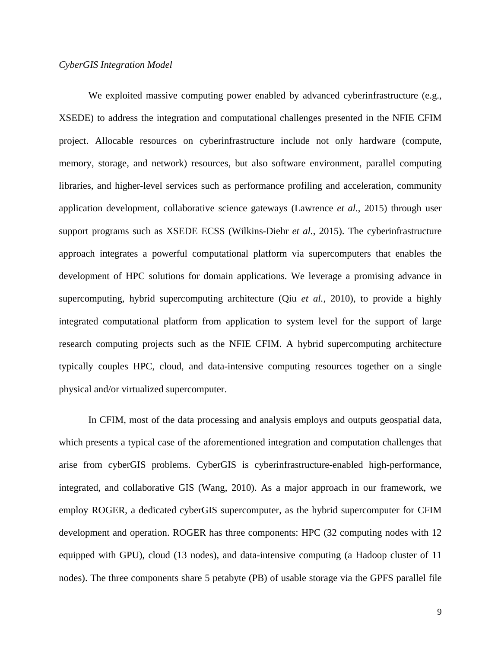## *CyberGIS Integration Model*

We exploited massive computing power enabled by advanced cyberinfrastructure (e.g., XSEDE) to address the integration and computational challenges presented in the NFIE CFIM project. Allocable resources on cyberinfrastructure include not only hardware (compute, memory, storage, and network) resources, but also software environment, parallel computing libraries, and higher-level services such as performance profiling and acceleration, community application development, collaborative science gateways (Lawrence *et al.*, 2015) through user support programs such as XSEDE ECSS (Wilkins-Diehr *et al.*, 2015). The cyberinfrastructure approach integrates a powerful computational platform via supercomputers that enables the development of HPC solutions for domain applications. We leverage a promising advance in supercomputing, hybrid supercomputing architecture (Qiu *et al.*, 2010), to provide a highly integrated computational platform from application to system level for the support of large research computing projects such as the NFIE CFIM. A hybrid supercomputing architecture typically couples HPC, cloud, and data-intensive computing resources together on a single physical and/or virtualized supercomputer.

In CFIM, most of the data processing and analysis employs and outputs geospatial data, which presents a typical case of the aforementioned integration and computation challenges that arise from cyberGIS problems. CyberGIS is cyberinfrastructure-enabled high-performance, integrated, and collaborative GIS (Wang, 2010). As a major approach in our framework, we employ ROGER, a dedicated cyberGIS supercomputer, as the hybrid supercomputer for CFIM development and operation. ROGER has three components: HPC (32 computing nodes with 12 equipped with GPU), cloud (13 nodes), and data-intensive computing (a Hadoop cluster of 11 nodes). The three components share 5 petabyte (PB) of usable storage via the GPFS parallel file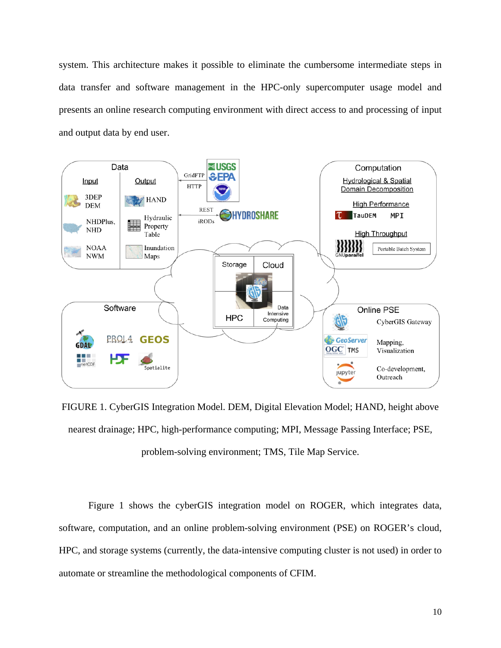system. This architecture makes it possible to eliminate the cumbersome intermediate steps in data transfer and software management in the HPC-only supercomputer usage model and presents an online research computing environment with direct access to and processing of input and output data by end user.



FIGURE 1. CyberGIS Integration Model. DEM, Digital Elevation Model; HAND, height above nearest drainage; HPC, high-performance computing; MPI, Message Passing Interface; PSE, problem-solving environment; TMS, Tile Map Service.

Figure 1 shows the cyberGIS integration model on ROGER, which integrates data, software, computation, and an online problem-solving environment (PSE) on ROGER's cloud, HPC, and storage systems (currently, the data-intensive computing cluster is not used) in order to automate or streamline the methodological components of CFIM.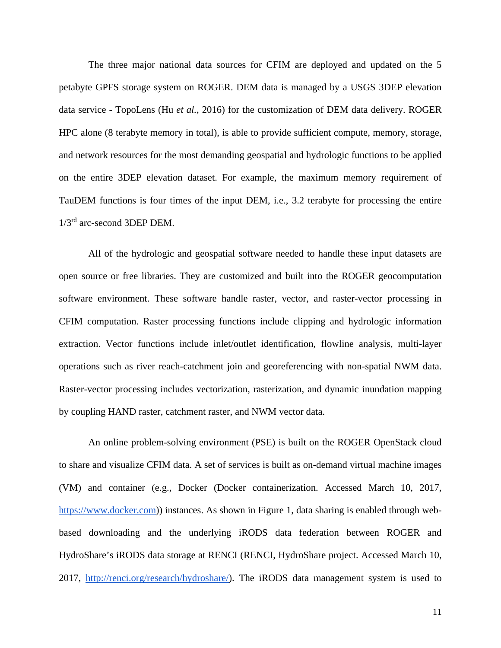The three major national data sources for CFIM are deployed and updated on the 5 petabyte GPFS storage system on ROGER. DEM data is managed by a USGS 3DEP elevation data service - TopoLens (Hu *et al.*, 2016) for the customization of DEM data delivery. ROGER HPC alone (8 terabyte memory in total), is able to provide sufficient compute, memory, storage, and network resources for the most demanding geospatial and hydrologic functions to be applied on the entire 3DEP elevation dataset. For example, the maximum memory requirement of TauDEM functions is four times of the input DEM, i.e., 3.2 terabyte for processing the entire 1/3rd arc-second 3DEP DEM.

All of the hydrologic and geospatial software needed to handle these input datasets are open source or free libraries. They are customized and built into the ROGER geocomputation software environment. These software handle raster, vector, and raster-vector processing in CFIM computation. Raster processing functions include clipping and hydrologic information extraction. Vector functions include inlet/outlet identification, flowline analysis, multi-layer operations such as river reach-catchment join and georeferencing with non-spatial NWM data. Raster-vector processing includes vectorization, rasterization, and dynamic inundation mapping by coupling HAND raster, catchment raster, and NWM vector data.

An online problem-solving environment (PSE) is built on the ROGER OpenStack cloud to share and visualize CFIM data. A set of services is built as on-demand virtual machine images (VM) and container (e.g., Docker (Docker containerization. Accessed March 10, 2017, [https://www.docker.com\)](https://www.docker.com/)) instances. As shown in Figure 1, data sharing is enabled through webbased downloading and the underlying iRODS data federation between ROGER and HydroShare's iRODS data storage at RENCI (RENCI, HydroShare project. Accessed March 10, 2017, [http://renci.org/research/hydroshare/\)](http://renci.org/research/hydroshare/). The iRODS data management system is used to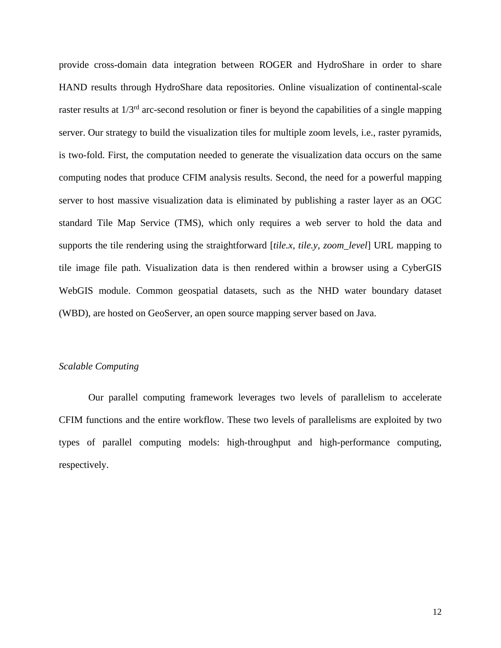provide cross-domain data integration between ROGER and HydroShare in order to share HAND results through HydroShare data repositories. Online visualization of continental-scale raster results at  $1/3<sup>rd</sup>$  arc-second resolution or finer is beyond the capabilities of a single mapping server. Our strategy to build the visualization tiles for multiple zoom levels, i.e., raster pyramids, is two-fold. First, the computation needed to generate the visualization data occurs on the same computing nodes that produce CFIM analysis results. Second, the need for a powerful mapping server to host massive visualization data is eliminated by publishing a raster layer as an OGC standard Tile Map Service (TMS), which only requires a web server to hold the data and supports the tile rendering using the straightforward [*tile.x, tile.y, zoom\_level*] URL mapping to tile image file path. Visualization data is then rendered within a browser using a CyberGIS WebGIS module. Common geospatial datasets, such as the NHD water boundary dataset (WBD), are hosted on GeoServer, an open source mapping server based on Java.

## *Scalable Computing*

Our parallel computing framework leverages two levels of parallelism to accelerate CFIM functions and the entire workflow. These two levels of parallelisms are exploited by two types of parallel computing models: high-throughput and high-performance computing, respectively.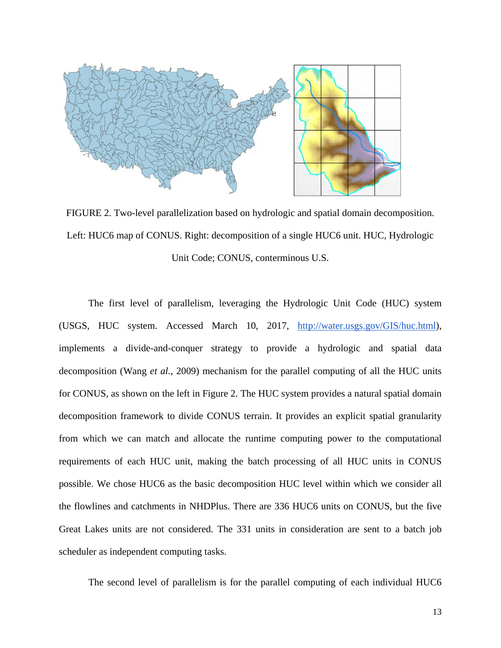

FIGURE 2. Two-level parallelization based on hydrologic and spatial domain decomposition. Left: HUC6 map of CONUS. Right: decomposition of a single HUC6 unit. HUC, Hydrologic Unit Code; CONUS, conterminous U.S.

The first level of parallelism, leveraging the Hydrologic Unit Code (HUC) system (USGS, HUC system. Accessed March 10, 2017, [http://water.usgs.gov/GIS/huc.html\)](http://water.usgs.gov/GIS/huc.html), implements a divide-and-conquer strategy to provide a hydrologic and spatial data decomposition (Wang *et al.*, 2009) mechanism for the parallel computing of all the HUC units for CONUS, as shown on the left in Figure 2. The HUC system provides a natural spatial domain decomposition framework to divide CONUS terrain. It provides an explicit spatial granularity from which we can match and allocate the runtime computing power to the computational requirements of each HUC unit, making the batch processing of all HUC units in CONUS possible. We chose HUC6 as the basic decomposition HUC level within which we consider all the flowlines and catchments in NHDPlus. There are 336 HUC6 units on CONUS, but the five Great Lakes units are not considered. The 331 units in consideration are sent to a batch job scheduler as independent computing tasks.

The second level of parallelism is for the parallel computing of each individual HUC6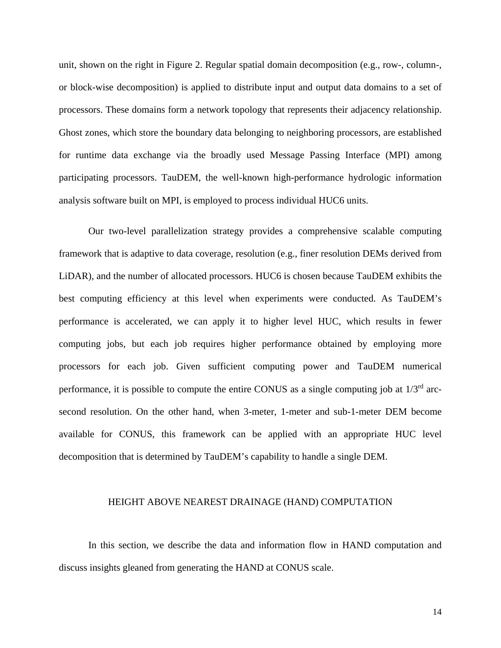unit, shown on the right in Figure 2. Regular spatial domain decomposition (e.g., row-, column-, or block-wise decomposition) is applied to distribute input and output data domains to a set of processors. These domains form a network topology that represents their adjacency relationship. Ghost zones, which store the boundary data belonging to neighboring processors, are established for runtime data exchange via the broadly used Message Passing Interface (MPI) among participating processors. TauDEM, the well-known high-performance hydrologic information analysis software built on MPI, is employed to process individual HUC6 units.

Our two-level parallelization strategy provides a comprehensive scalable computing framework that is adaptive to data coverage, resolution (e.g., finer resolution DEMs derived from LiDAR), and the number of allocated processors. HUC6 is chosen because TauDEM exhibits the best computing efficiency at this level when experiments were conducted. As TauDEM's performance is accelerated, we can apply it to higher level HUC, which results in fewer computing jobs, but each job requires higher performance obtained by employing more processors for each job. Given sufficient computing power and TauDEM numerical performance, it is possible to compute the entire CONUS as a single computing job at 1/3rd arcsecond resolution. On the other hand, when 3-meter, 1-meter and sub-1-meter DEM become available for CONUS, this framework can be applied with an appropriate HUC level decomposition that is determined by TauDEM's capability to handle a single DEM.

### HEIGHT ABOVE NEAREST DRAINAGE (HAND) COMPUTATION

In this section, we describe the data and information flow in HAND computation and discuss insights gleaned from generating the HAND at CONUS scale.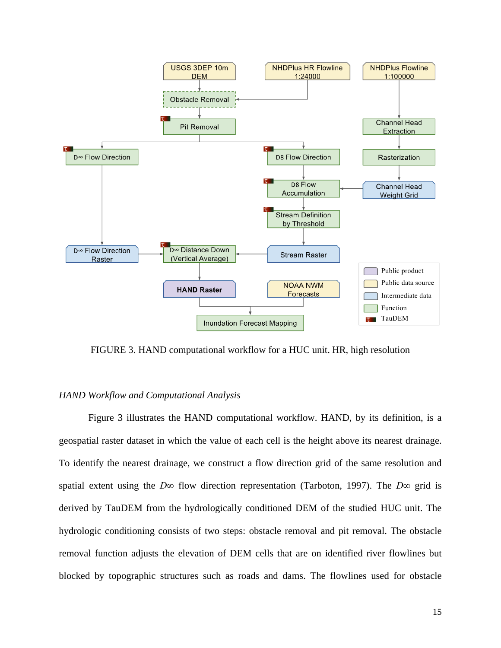

FIGURE 3. HAND computational workflow for a HUC unit. HR, high resolution

### *HAND Workflow and Computational Analysis*

Figure 3 illustrates the HAND computational workflow. HAND, by its definition, is a geospatial raster dataset in which the value of each cell is the height above its nearest drainage. To identify the nearest drainage, we construct a flow direction grid of the same resolution and spatial extent using the *D∞* flow direction representation (Tarboton, 1997). The *D∞* grid is derived by TauDEM from the hydrologically conditioned DEM of the studied HUC unit. The hydrologic conditioning consists of two steps: obstacle removal and pit removal. The obstacle removal function adjusts the elevation of DEM cells that are on identified river flowlines but blocked by topographic structures such as roads and dams. The flowlines used for obstacle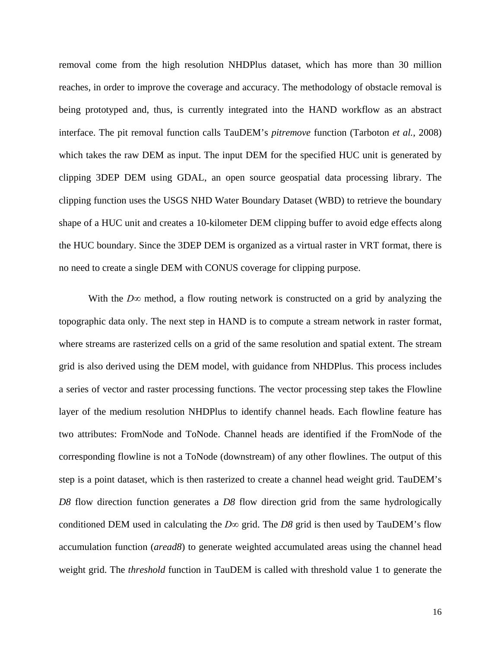removal come from the high resolution NHDPlus dataset, which has more than 30 million reaches, in order to improve the coverage and accuracy. The methodology of obstacle removal is being prototyped and, thus, is currently integrated into the HAND workflow as an abstract interface. The pit removal function calls TauDEM's *pitremove* function (Tarboton *et al.*, 2008) which takes the raw DEM as input. The input DEM for the specified HUC unit is generated by clipping 3DEP DEM using GDAL, an open source geospatial data processing library. The clipping function uses the USGS NHD Water Boundary Dataset (WBD) to retrieve the boundary shape of a HUC unit and creates a 10-kilometer DEM clipping buffer to avoid edge effects along the HUC boundary. Since the 3DEP DEM is organized as a virtual raster in VRT format, there is no need to create a single DEM with CONUS coverage for clipping purpose.

With the *D∞* method, a flow routing network is constructed on a grid by analyzing the topographic data only. The next step in HAND is to compute a stream network in raster format, where streams are rasterized cells on a grid of the same resolution and spatial extent. The stream grid is also derived using the DEM model, with guidance from NHDPlus. This process includes a series of vector and raster processing functions. The vector processing step takes the Flowline layer of the medium resolution NHDPlus to identify channel heads. Each flowline feature has two attributes: FromNode and ToNode. Channel heads are identified if the FromNode of the corresponding flowline is not a ToNode (downstream) of any other flowlines. The output of this step is a point dataset, which is then rasterized to create a channel head weight grid. TauDEM's *D8* flow direction function generates a *D8* flow direction grid from the same hydrologically conditioned DEM used in calculating the *D∞* grid. The *D8* grid is then used by TauDEM's flow accumulation function (*aread8*) to generate weighted accumulated areas using the channel head weight grid. The *threshold* function in TauDEM is called with threshold value 1 to generate the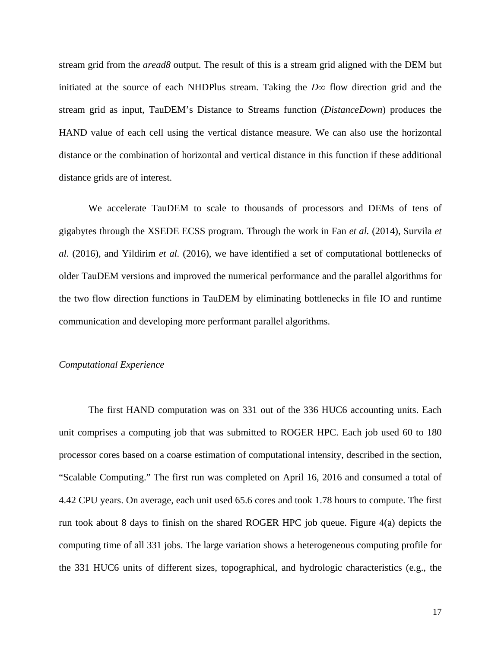stream grid from the *aread8* output. The result of this is a stream grid aligned with the DEM but initiated at the source of each NHDPlus stream. Taking the *D∞* flow direction grid and the stream grid as input, TauDEM's Distance to Streams function (*DistanceDown*) produces the HAND value of each cell using the vertical distance measure. We can also use the horizontal distance or the combination of horizontal and vertical distance in this function if these additional distance grids are of interest.

We accelerate TauDEM to scale to thousands of processors and DEMs of tens of gigabytes through the XSEDE ECSS program. Through the work in Fan *et al.* (2014), Survila *et al.* (2016), and Yildirim *et al.* (2016), we have identified a set of computational bottlenecks of older TauDEM versions and improved the numerical performance and the parallel algorithms for the two flow direction functions in TauDEM by eliminating bottlenecks in file IO and runtime communication and developing more performant parallel algorithms.

#### *Computational Experience*

The first HAND computation was on 331 out of the 336 HUC6 accounting units. Each unit comprises a computing job that was submitted to ROGER HPC. Each job used 60 to 180 processor cores based on a coarse estimation of computational intensity, described in the section, "Scalable Computing." The first run was completed on April 16, 2016 and consumed a total of 4.42 CPU years. On average, each unit used 65.6 cores and took 1.78 hours to compute. The first run took about 8 days to finish on the shared ROGER HPC job queue. Figure 4(a) depicts the computing time of all 331 jobs. The large variation shows a heterogeneous computing profile for the 331 HUC6 units of different sizes, topographical, and hydrologic characteristics (e.g., the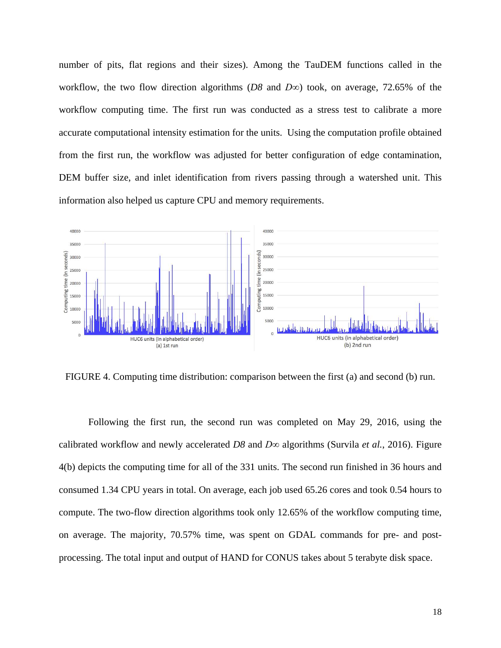number of pits, flat regions and their sizes). Among the TauDEM functions called in the workflow, the two flow direction algorithms (*D8* and *D∞*) took, on average, 72.65% of the workflow computing time. The first run was conducted as a stress test to calibrate a more accurate computational intensity estimation for the units. Using the computation profile obtained from the first run, the workflow was adjusted for better configuration of edge contamination, DEM buffer size, and inlet identification from rivers passing through a watershed unit. This information also helped us capture CPU and memory requirements.



FIGURE 4. Computing time distribution: comparison between the first (a) and second (b) run.

Following the first run, the second run was completed on May 29, 2016, using the calibrated workflow and newly accelerated *D8* and *D∞* algorithms (Survila *et al.*, 2016). Figure 4(b) depicts the computing time for all of the 331 units. The second run finished in 36 hours and consumed 1.34 CPU years in total. On average, each job used 65.26 cores and took 0.54 hours to compute. The two-flow direction algorithms took only 12.65% of the workflow computing time, on average. The majority, 70.57% time, was spent on GDAL commands for pre- and postprocessing. The total input and output of HAND for CONUS takes about 5 terabyte disk space.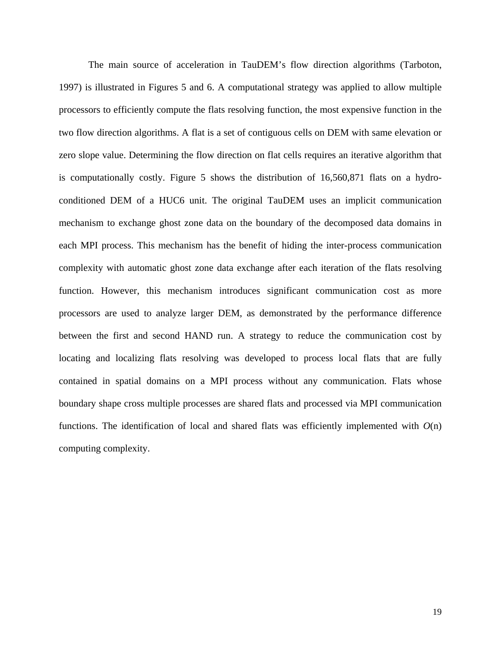The main source of acceleration in TauDEM's flow direction algorithms (Tarboton, 1997) is illustrated in Figures 5 and 6. A computational strategy was applied to allow multiple processors to efficiently compute the flats resolving function, the most expensive function in the two flow direction algorithms. A flat is a set of contiguous cells on DEM with same elevation or zero slope value. Determining the flow direction on flat cells requires an iterative algorithm that is computationally costly. Figure 5 shows the distribution of 16,560,871 flats on a hydroconditioned DEM of a HUC6 unit. The original TauDEM uses an implicit communication mechanism to exchange ghost zone data on the boundary of the decomposed data domains in each MPI process. This mechanism has the benefit of hiding the inter-process communication complexity with automatic ghost zone data exchange after each iteration of the flats resolving function. However, this mechanism introduces significant communication cost as more processors are used to analyze larger DEM, as demonstrated by the performance difference between the first and second HAND run. A strategy to reduce the communication cost by locating and localizing flats resolving was developed to process local flats that are fully contained in spatial domains on a MPI process without any communication. Flats whose boundary shape cross multiple processes are shared flats and processed via MPI communication functions. The identification of local and shared flats was efficiently implemented with *O*(n) computing complexity.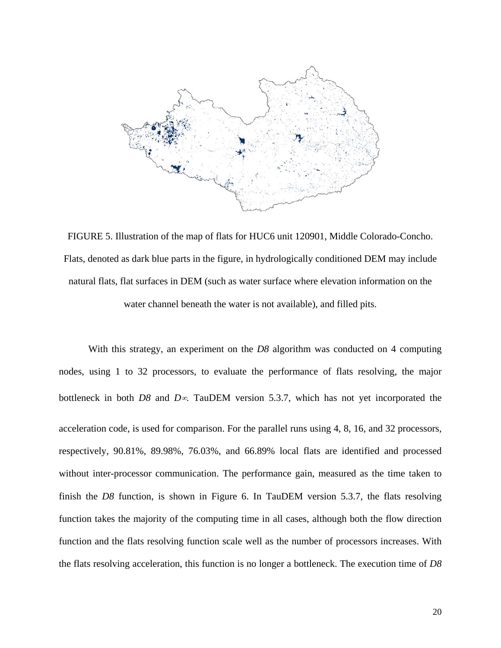

FIGURE 5. Illustration of the map of flats for HUC6 unit 120901, Middle Colorado-Concho. Flats, denoted as dark blue parts in the figure, in hydrologically conditioned DEM may include natural flats, flat surfaces in DEM (such as water surface where elevation information on the water channel beneath the water is not available), and filled pits.

With this strategy, an experiment on the *D8* algorithm was conducted on 4 computing nodes, using 1 to 32 processors, to evaluate the performance of flats resolving, the major bottleneck in both *D8* and *D*∞. TauDEM version 5.3.7, which has not yet incorporated the acceleration code, is used for comparison. For the parallel runs using 4, 8, 16, and 32 processors, respectively, 90.81%, 89.98%, 76.03%, and 66.89% local flats are identified and processed without inter-processor communication. The performance gain, measured as the time taken to finish the *D8* function, is shown in Figure 6. In TauDEM version 5.3.7, the flats resolving function takes the majority of the computing time in all cases, although both the flow direction function and the flats resolving function scale well as the number of processors increases. With the flats resolving acceleration, this function is no longer a bottleneck. The execution time of *D8*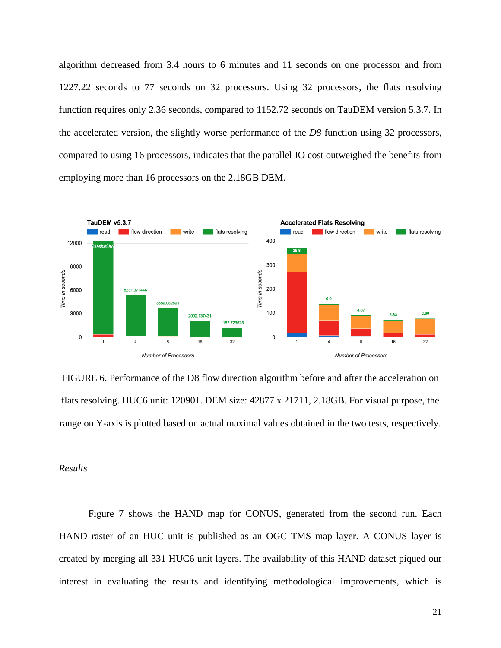algorithm decreased from 3.4 hours to 6 minutes and 11 seconds on one processor and from 1227.22 seconds to 77 seconds on 32 processors. Using 32 processors, the flats resolving function requires only 2.36 seconds, compared to 1152.72 seconds on TauDEM version 5.3.7. In the accelerated version, the slightly worse performance of the *D8* function using 32 processors, compared to using 16 processors, indicates that the parallel IO cost outweighed the benefits from employing more than 16 processors on the 2.18GB DEM.



FIGURE 6. Performance of the D8 flow direction algorithm before and after the acceleration on flats resolving. HUC6 unit: 120901. DEM size: 42877 x 21711, 2.18GB. For visual purpose, the range on Y-axis is plotted based on actual maximal values obtained in the two tests, respectively.

## *Results*

Figure 7 shows the HAND map for CONUS, generated from the second run. Each HAND raster of an HUC unit is published as an OGC TMS map layer. A CONUS layer is created by merging all 331 HUC6 unit layers. The availability of this HAND dataset piqued our interest in evaluating the results and identifying methodological improvements, which is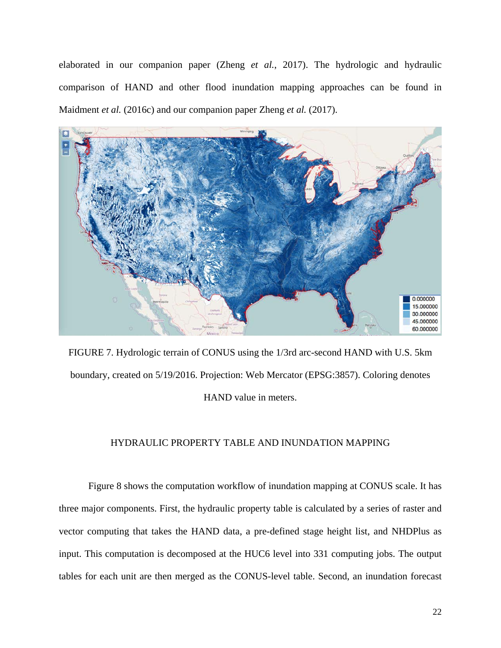elaborated in our companion paper (Zheng *et al.*, 2017). The hydrologic and hydraulic comparison of HAND and other flood inundation mapping approaches can be found in Maidment *et al.* (2016c) and our companion paper Zheng *et al.* (2017).



FIGURE 7. Hydrologic terrain of CONUS using the 1/3rd arc-second HAND with U.S. 5km boundary, created on 5/19/2016. Projection: Web Mercator (EPSG:3857). Coloring denotes HAND value in meters.

## HYDRAULIC PROPERTY TABLE AND INUNDATION MAPPING

Figure 8 shows the computation workflow of inundation mapping at CONUS scale. It has three major components. First, the hydraulic property table is calculated by a series of raster and vector computing that takes the HAND data, a pre-defined stage height list, and NHDPlus as input. This computation is decomposed at the HUC6 level into 331 computing jobs. The output tables for each unit are then merged as the CONUS-level table. Second, an inundation forecast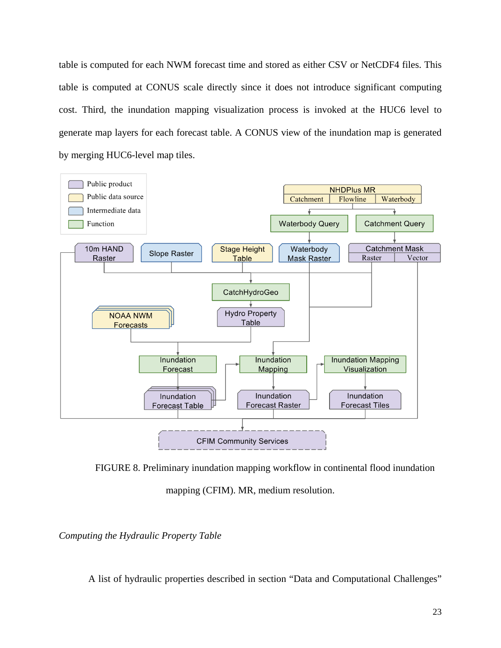table is computed for each NWM forecast time and stored as either CSV or NetCDF4 files. This table is computed at CONUS scale directly since it does not introduce significant computing cost. Third, the inundation mapping visualization process is invoked at the HUC6 level to generate map layers for each forecast table. A CONUS view of the inundation map is generated by merging HUC6-level map tiles.



FIGURE 8. Preliminary inundation mapping workflow in continental flood inundation

mapping (CFIM). MR, medium resolution.

*Computing the Hydraulic Property Table*

A list of hydraulic properties described in section "Data and Computational Challenges"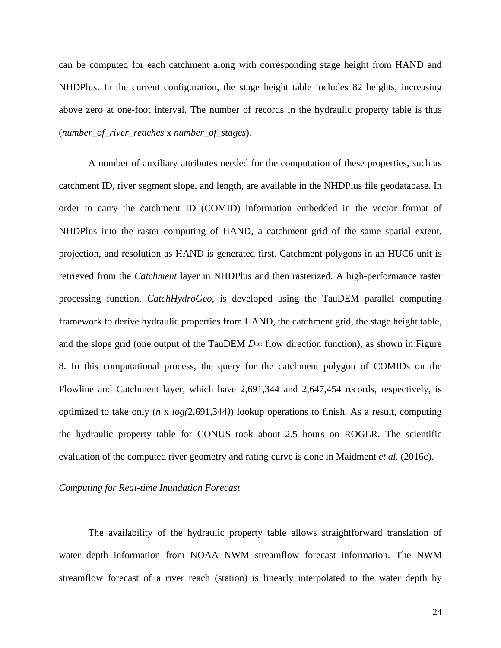can be computed for each catchment along with corresponding stage height from HAND and NHDPlus. In the current configuration, the stage height table includes 82 heights, increasing above zero at one-foot interval. The number of records in the hydraulic property table is thus (*number\_of\_river\_reaches* x *number\_of\_stages*).

A number of auxiliary attributes needed for the computation of these properties, such as catchment ID, river segment slope, and length, are available in the NHDPlus file geodatabase. In order to carry the catchment ID (COMID) information embedded in the vector format of NHDPlus into the raster computing of HAND, a catchment grid of the same spatial extent, projection, and resolution as HAND is generated first. Catchment polygons in an HUC6 unit is retrieved from the *Catchment* layer in NHDPlus and then rasterized. A high-performance raster processing function, *CatchHydroGeo*, is developed using the TauDEM parallel computing framework to derive hydraulic properties from HAND, the catchment grid, the stage height table, and the slope grid (one output of the TauDEM  $D\infty$  flow direction function), as shown in Figure 8. In this computational process, the query for the catchment polygon of COMIDs on the Flowline and Catchment layer, which have 2,691,344 and 2,647,454 records, respectively, is optimized to take only (*n* x *log(*2,691,344*)*) lookup operations to finish. As a result, computing the hydraulic property table for CONUS took about 2.5 hours on ROGER. The scientific evaluation of the computed river geometry and rating curve is done in Maidment *et al.* (2016c).

### *Computing for Real-time Inundation Forecast*

The availability of the hydraulic property table allows straightforward translation of water depth information from NOAA NWM streamflow forecast information. The NWM streamflow forecast of a river reach (station) is linearly interpolated to the water depth by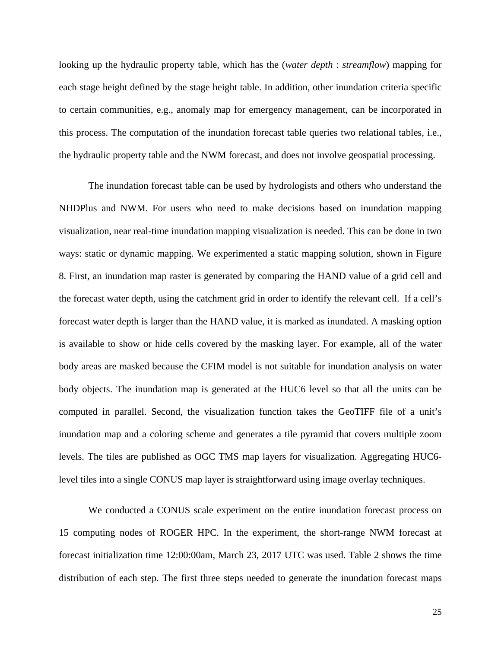looking up the hydraulic property table, which has the (*water depth* : *streamflow*) mapping for each stage height defined by the stage height table. In addition, other inundation criteria specific to certain communities, e.g., anomaly map for emergency management, can be incorporated in this process. The computation of the inundation forecast table queries two relational tables, i.e., the hydraulic property table and the NWM forecast, and does not involve geospatial processing.

The inundation forecast table can be used by hydrologists and others who understand the NHDPlus and NWM. For users who need to make decisions based on inundation mapping visualization, near real-time inundation mapping visualization is needed. This can be done in two ways: static or dynamic mapping. We experimented a static mapping solution, shown in Figure 8. First, an inundation map raster is generated by comparing the HAND value of a grid cell and the forecast water depth, using the catchment grid in order to identify the relevant cell. If a cell's forecast water depth is larger than the HAND value, it is marked as inundated. A masking option is available to show or hide cells covered by the masking layer. For example, all of the water body areas are masked because the CFIM model is not suitable for inundation analysis on water body objects. The inundation map is generated at the HUC6 level so that all the units can be computed in parallel. Second, the visualization function takes the GeoTIFF file of a unit's inundation map and a coloring scheme and generates a tile pyramid that covers multiple zoom levels. The tiles are published as OGC TMS map layers for visualization. Aggregating HUC6 level tiles into a single CONUS map layer is straightforward using image overlay techniques.

We conducted a CONUS scale experiment on the entire inundation forecast process on 15 computing nodes of ROGER HPC. In the experiment, the short-range NWM forecast at forecast initialization time 12:00:00am, March 23, 2017 UTC was used. Table 2 shows the time distribution of each step. The first three steps needed to generate the inundation forecast maps

25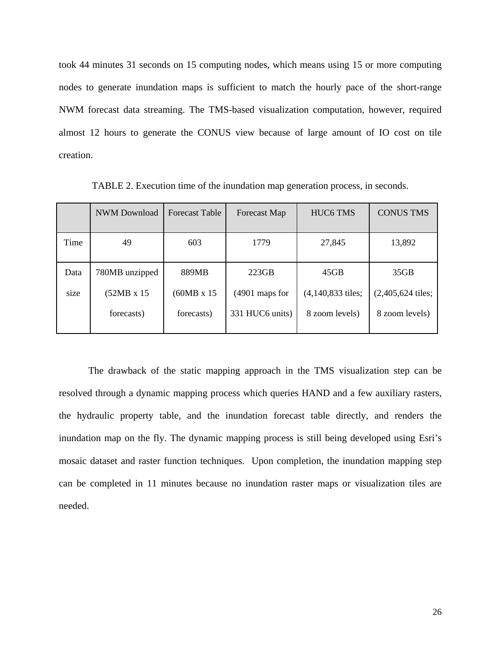took 44 minutes 31 seconds on 15 computing nodes, which means using 15 or more computing nodes to generate inundation maps is sufficient to match the hourly pace of the short-range NWM forecast data streaming. The TMS-based visualization computation, however, required almost 12 hours to generate the CONUS view because of large amount of IO cost on tile creation.

|      | <b>NWM</b> Download | <b>Forecast Table</b> | Forecast Map     | HUC6 TMS            | <b>CONUS TMS</b>    |
|------|---------------------|-----------------------|------------------|---------------------|---------------------|
| Time | 49                  | 603                   | 1779             | 27,845              | 13,892              |
| Data | 780MB unzipped      | 889MB                 | 223GB            | 45GB                | 35GB                |
| size | $(52MB \times 15)$  | $(60MB \times 15)$    | $(4901$ maps for | $(4,140,833$ tiles; | $(2,405,624$ tiles; |
|      | forecasts)          | forecasts)            | 331 HUC6 units)  | 8 zoom levels)      | 8 zoom levels)      |

TABLE 2. Execution time of the inundation map generation process, in seconds.

The drawback of the static mapping approach in the TMS visualization step can be resolved through a dynamic mapping process which queries HAND and a few auxiliary rasters, the hydraulic property table, and the inundation forecast table directly, and renders the inundation map on the fly. The dynamic mapping process is still being developed using Esri's mosaic dataset and raster function techniques. Upon completion, the inundation mapping step can be completed in 11 minutes because no inundation raster maps or visualization tiles are needed.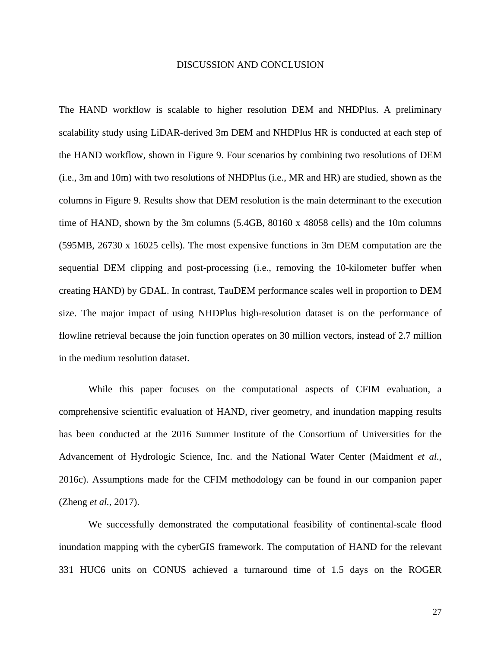#### DISCUSSION AND CONCLUSION

The HAND workflow is scalable to higher resolution DEM and NHDPlus. A preliminary scalability study using LiDAR-derived 3m DEM and NHDPlus HR is conducted at each step of the HAND workflow, shown in Figure 9. Four scenarios by combining two resolutions of DEM (i.e., 3m and 10m) with two resolutions of NHDPlus (i.e., MR and HR) are studied, shown as the columns in Figure 9. Results show that DEM resolution is the main determinant to the execution time of HAND, shown by the 3m columns (5.4GB, 80160 x 48058 cells) and the 10m columns (595MB, 26730 x 16025 cells). The most expensive functions in 3m DEM computation are the sequential DEM clipping and post-processing (i.e., removing the 10-kilometer buffer when creating HAND) by GDAL. In contrast, TauDEM performance scales well in proportion to DEM size. The major impact of using NHDPlus high-resolution dataset is on the performance of flowline retrieval because the join function operates on 30 million vectors, instead of 2.7 million in the medium resolution dataset.

While this paper focuses on the computational aspects of CFIM evaluation, a comprehensive scientific evaluation of HAND, river geometry, and inundation mapping results has been conducted at the 2016 Summer Institute of the Consortium of Universities for the Advancement of Hydrologic Science, Inc. and the National Water Center (Maidment *et al.*, 2016c). Assumptions made for the CFIM methodology can be found in our companion paper (Zheng *et al.*, 2017).

We successfully demonstrated the computational feasibility of continental-scale flood inundation mapping with the cyberGIS framework. The computation of HAND for the relevant 331 HUC6 units on CONUS achieved a turnaround time of 1.5 days on the ROGER

27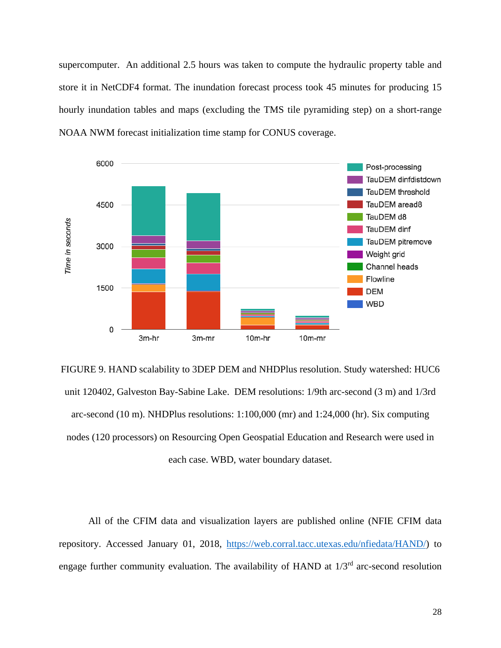supercomputer. An additional 2.5 hours was taken to compute the hydraulic property table and store it in NetCDF4 format. The inundation forecast process took 45 minutes for producing 15 hourly inundation tables and maps (excluding the TMS tile pyramiding step) on a short-range NOAA NWM forecast initialization time stamp for CONUS coverage.



FIGURE 9. HAND scalability to 3DEP DEM and NHDPlus resolution. Study watershed: HUC6 unit 120402, Galveston Bay-Sabine Lake. DEM resolutions: 1/9th arc-second (3 m) and 1/3rd arc-second (10 m). NHDPlus resolutions: 1:100,000 (mr) and 1:24,000 (hr). Six computing nodes (120 processors) on Resourcing Open Geospatial Education and Research were used in each case. WBD, water boundary dataset.

All of the CFIM data and visualization layers are published online (NFIE CFIM data repository. Accessed January 01, 2018, [https://web.corral.tacc.utexas.edu/nfiedata/HAND/\)](https://web.corral.tacc.utexas.edu/nfiedata/HAND/) to engage further community evaluation. The availability of HAND at  $1/3<sup>rd</sup>$  arc-second resolution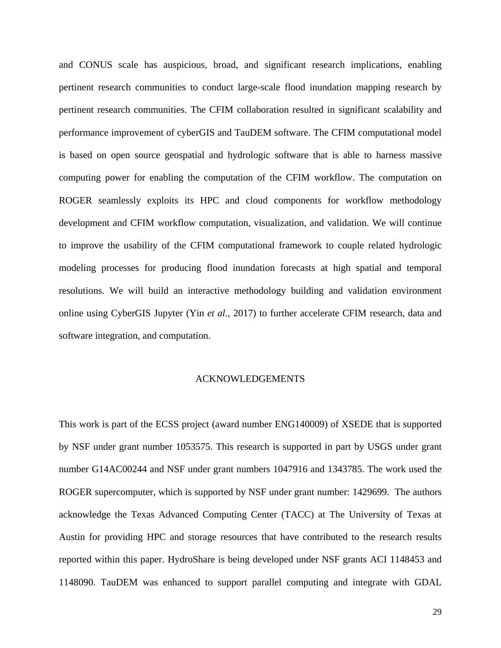and CONUS scale has auspicious, broad, and significant research implications, enabling pertinent research communities to conduct large-scale flood inundation mapping research by pertinent research communities. The CFIM collaboration resulted in significant scalability and performance improvement of cyberGIS and TauDEM software. The CFIM computational model is based on open source geospatial and hydrologic software that is able to harness massive computing power for enabling the computation of the CFIM workflow. The computation on ROGER seamlessly exploits its HPC and cloud components for workflow methodology development and CFIM workflow computation, visualization, and validation. We will continue to improve the usability of the CFIM computational framework to couple related hydrologic modeling processes for producing flood inundation forecasts at high spatial and temporal resolutions. We will build an interactive methodology building and validation environment online using CyberGIS Jupyter (Yin *et al.*, 2017) to further accelerate CFIM research, data and software integration, and computation.

### ACKNOWLEDGEMENTS

This work is part of the ECSS project (award number ENG140009) of XSEDE that is supported by NSF under grant number 1053575. This research is supported in part by USGS under grant number G14AC00244 and NSF under grant numbers 1047916 and 1343785. The work used the ROGER supercomputer, which is supported by NSF under grant number: 1429699. The authors acknowledge the Texas Advanced Computing Center (TACC) at The University of Texas at Austin for providing HPC and storage resources that have contributed to the research results reported within this paper. HydroShare is being developed under NSF grants ACI 1148453 and 1148090. TauDEM was enhanced to support parallel computing and integrate with GDAL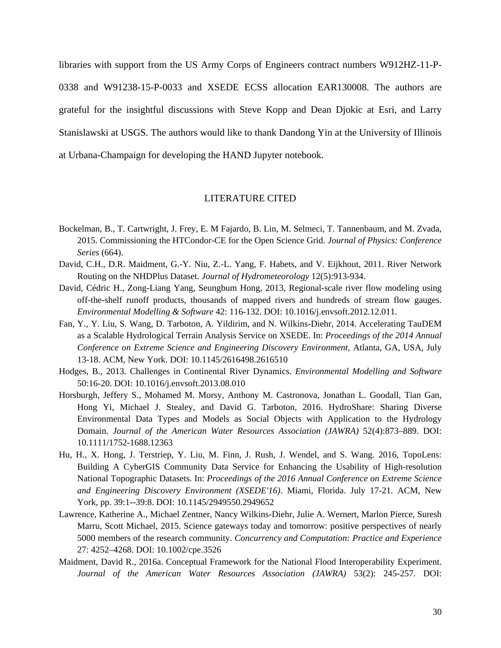libraries with support from the US Army Corps of Engineers contract numbers W912HZ-11-P-0338 and W91238-15-P-0033 and XSEDE ECSS allocation EAR130008. The authors are grateful for the insightful discussions with Steve Kopp and Dean Djokic at Esri, and Larry Stanislawski at USGS. The authors would like to thank Dandong Yin at the University of Illinois at Urbana-Champaign for developing the HAND Jupyter notebook.

# LITERATURE CITED

- Bockelman, B., T. Cartwright, J. Frey, E. M Fajardo, B. Lin, M. Selmeci, T. Tannenbaum, and M. Zvada, 2015. Commissioning the HTCondor-CE for the Open Science Grid. *Journal of Physics: Conference Series* (664).
- David, C.H., D.R. Maidment, G.-Y. Niu, Z.-L. Yang, F. Habets, and V. Eijkhout, 2011. River Network Routing on the NHDPlus Dataset. *Journal of Hydrometeorology* 12(5):913-934.
- David, Cédric H., Zong-Liang Yang, Seungbum Hong, 2013, Regional-scale river flow modeling using off-the-shelf runoff products, thousands of mapped rivers and hundreds of stream flow gauges. *Environmental Modelling & Software* 42: 116-132. DOI: 10.1016/j.envsoft.2012.12.011.
- Fan, Y., Y. Liu, S. Wang, D. Tarboton, A. Yildirim, and N. Wilkins-Diehr, 2014. Accelerating TauDEM as a Scalable Hydrological Terrain Analysis Service on XSEDE. In: *Proceedings of the 2014 Annual Conference on Extreme Science and Engineering Discovery Environment*, Atlanta, GA, USA, July 13-18. ACM, New York. DOI: 10.1145/2616498.2616510
- Hodges, B., 2013. Challenges in Continental River Dynamics. *Environmental Modelling and Software* 50:16-20. DOI: 10.1016/j.envsoft.2013.08.010
- Horsburgh, Jeffery S., Mohamed M. Morsy, Anthony M. Castronova, Jonathan L. Goodall, Tian Gan, Hong Yi, Michael J. Stealey, and David G. Tarboton, 2016. HydroShare: Sharing Diverse Environmental Data Types and Models as Social Objects with Application to the Hydrology Domain. *Journal of the American Water Resources Association (JAWRA)* 52(4):873–889. DOI: 10.1111/1752-1688.12363
- Hu, H., X. Hong, J. Terstriep, Y. Liu, M. Finn, J. Rush, J. Wendel, and S. Wang. 2016, TopoLens: Building A CyberGIS Community Data Service for Enhancing the Usability of High-resolution National Topographic Datasets. In: *Proceedings of the 2016 Annual Conference on Extreme Science and Engineering Discovery Environment (XSEDE'16)*. Miami, Florida. July 17-21. ACM, New York, pp. 39:1--39:8. DOI: 10.1145/2949550.2949652
- Lawrence, Katherine A., Michael Zentner, Nancy Wilkins-Diehr, Julie A. Wernert, Marlon Pierce, Suresh Marru, Scott Michael, 2015. Science gateways today and tomorrow: positive perspectives of nearly 5000 members of the research community. *Concurrency and Computation: Practice and Experience* 27: 4252–4268. DOI: 10.1002/cpe.3526
- Maidment, David R., 2016a. Conceptual Framework for the National Flood Interoperability Experiment. *Journal of the American Water Resources Association (JAWRA)* 53(2): 245-257. DOI: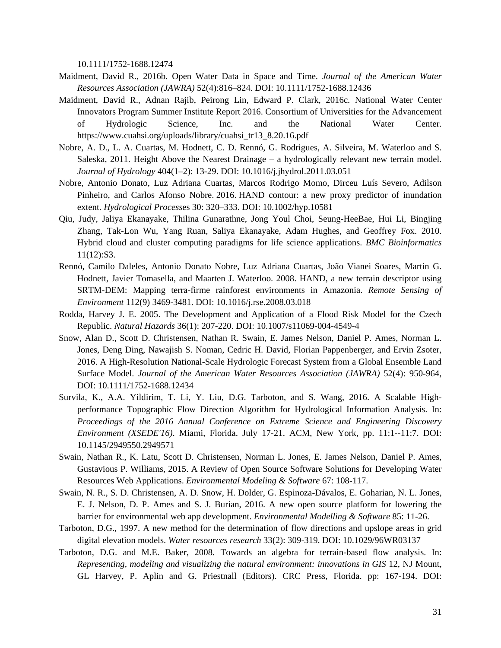10.1111/1752-1688.12474

- Maidment, David R., 2016b. Open Water Data in Space and Time. *Journal of the American Water Resources Association (JAWRA)* 52(4):816–824. DOI: 10.1111/1752-1688.12436
- Maidment, David R., Adnan Rajib, Peirong Lin, Edward P. Clark, 2016c. National Water Center Innovators Program Summer Institute Report 2016. Consortium of Universities for the Advancement of Hydrologic Science, Inc. and the National Water Center. https://www.cuahsi.org/uploads/library/cuahsi\_tr13\_8.20.16.pdf
- Nobre, A. D., L. A. Cuartas, M. Hodnett, C. D. Rennó, G. Rodrigues, A. Silveira, M. Waterloo and S. Saleska, 2011. Height Above the Nearest Drainage – a hydrologically relevant new terrain model. *Journal of Hydrology* 404(1–2): 13-29. DOI: 10.1016/j.jhydrol.2011.03.051
- Nobre, Antonio Donato, Luz Adriana Cuartas, Marcos Rodrigo Momo, Dirceu Luís Severo, Adilson Pinheiro, and Carlos Afonso Nobre. 2016. HAND contour: a new proxy predictor of inundation extent. *Hydrological Process*es 30: 320–333. DOI: 10.1002/hyp.10581
- Qiu, Judy, Jaliya Ekanayake, Thilina Gunarathne, Jong Youl Choi, Seung-HeeBae, Hui Li, Bingjing Zhang, Tak-Lon Wu, Yang Ruan, Saliya Ekanayake, Adam Hughes, and Geoffrey Fox. 2010. Hybrid cloud and cluster computing paradigms for life science applications. *BMC Bioinformatics* 11(12):S3.
- Rennó, Camilo Daleles, Antonio Donato Nobre, Luz Adriana Cuartas, João Vianei Soares, Martin G. Hodnett, Javier Tomasella, and Maarten J. Waterloo. 2008. HAND, a new terrain descriptor using SRTM-DEM: Mapping terra-firme rainforest environments in Amazonia. *Remote Sensing of Environment* 112(9) 3469-3481. DOI: 10.1016/j.rse.2008.03.018
- Rodda, Harvey J. E. 2005. The Development and Application of a Flood Risk Model for the Czech Republic. *Natural Hazards* 36(1): 207-220. DOI: 10.1007/s11069-004-4549-4
- Snow, Alan D., Scott D. Christensen, Nathan R. Swain, E. James Nelson, Daniel P. Ames, Norman L. Jones, Deng Ding, Nawajish S. Noman, Cedric H. David, Florian Pappenberger, and Ervin Zsoter, 2016. A High-Resolution National-Scale Hydrologic Forecast System from a Global Ensemble Land Surface Model. *Journal of the American Water Resources Association (JAWRA)* 52(4): 950-964, DOI: 10.1111/1752-1688.12434
- Survila, K., A.A. Yildirim, T. Li, Y. Liu, D.G. Tarboton, and S. Wang, 2016. A Scalable Highperformance Topographic Flow Direction Algorithm for Hydrological Information Analysis. In: *Proceedings of the 2016 Annual Conference on Extreme Science and Engineering Discovery Environment (XSEDE'16)*. Miami, Florida. July 17-21. ACM, New York, pp. 11:1--11:7. DOI: 10.1145/2949550.2949571
- Swain, Nathan R., K. Latu, Scott D. Christensen, Norman L. Jones, E. James Nelson, Daniel P. Ames, Gustavious P. Williams, 2015. A Review of Open Source Software Solutions for Developing Water Resources Web Applications. *Environmental Modeling & Software* 67: 108-117.
- Swain, N. R., S. D. Christensen, A. D. Snow, H. Dolder, G. Espinoza-Dávalos, E. Goharian, N. L. Jones, E. J. Nelson, D. P. Ames and S. J. Burian, 2016. A new open source platform for lowering the barrier for environmental web app development. *Environmental Modelling & Software* 85: 11-26.
- Tarboton, D.G., 1997. A new method for the determination of flow directions and upslope areas in grid digital elevation models. *Water resources research* 33(2): 309-319. DOI: 10.1029/96WR03137
- Tarboton, D.G. and M.E. Baker, 2008. Towards an algebra for terrain-based flow analysis. In: *Representing, modeling and visualizing the natural environment: innovations in GIS* 12, NJ Mount, GL Harvey, P. Aplin and G. Priestnall (Editors). CRC Press, Florida. pp: 167-194. DOI: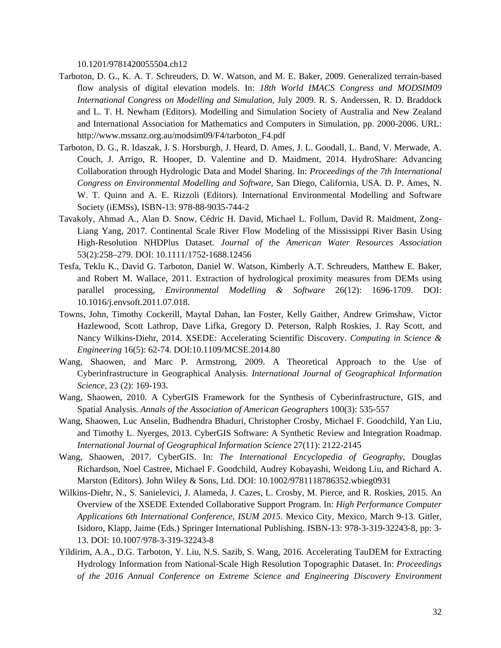10.1201/9781420055504.ch12

- Tarboton, D. G., K. A. T. Schreuders, D. W. Watson, and M. E. Baker, 2009. Generalized terrain-based flow analysis of digital elevation models. In: *18th World IMACS Congress and MODSIM09 International Congress on Modelling and Simulation*, July 2009. R. S. Anderssen, R. D. Braddock and L. T. H. Newham (Editors). Modelling and Simulation Society of Australia and New Zealand and International Association for Mathematics and Computers in Simulation, pp. 2000-2006. URL: http://www.mssanz.org.au/modsim09/F4/tarboton\_F4.pdf
- Tarboton, D. G., R. Idaszak, J. S. Horsburgh, J. Heard, D. Ames, J. L. Goodall, L. Band, V. Merwade, A. Couch, J. Arrigo, R. Hooper, D. Valentine and D. Maidment, 2014. HydroShare: Advancing Collaboration through Hydrologic Data and Model Sharing. In: *Proceedings of the 7th International Congress on Environmental Modelling and Software,* San Diego, California, USA. D. P. Ames, N. W. T. Quinn and A. E. Rizzoli (Editors). International Environmental Modelling and Software Society (iEMSs), ISBN-13: 978-88-9035-744-2
- Tavakoly, Ahmad A., Alan D. Snow, Cédric H. David, Michael L. Follum, David R. Maidment, Zong-Liang Yang, 2017. Continental Scale River Flow Modeling of the Mississippi River Basin Using High-Resolution NHDPlus Dataset. *Journal of the American Water Resources Association* 53(2):258–279. DOI: 10.1111/1752-1688.12456
- Tesfa, Teklu K., David G. Tarboton, Daniel W. Watson, Kimberly A.T. Schreuders, Matthew E. Baker, and Robert M. Wallace, 2011. Extraction of hydrological proximity measures from DEMs using parallel processing, *Environmental Modelling & Software* 26(12): 1696-1709. DOI: 10.1016/j.envsoft.2011.07.018.
- Towns, John, Timothy Cockerill, Maytal Dahan, Ian Foster, Kelly Gaither, Andrew Grimshaw, Victor Hazlewood, Scott Lathrop, Dave Lifka, Gregory D. Peterson, Ralph Roskies, J. Ray Scott, and Nancy Wilkins-Diehr, 2014. XSEDE: Accelerating Scientific Discovery. *Computing in Science & Engineering* 16(5): 62-74. DOI:10.1109/MCSE.2014.80
- Wang, Shaowen, and Marc P. Armstrong, 2009. A Theoretical Approach to the Use of Cyberinfrastructure in Geographical Analysis. *International Journal of Geographical Information Science*, 23 (2): 169-193.
- Wang, Shaowen, 2010. A CyberGIS Framework for the Synthesis of Cyberinfrastructure, GIS, and Spatial Analysis. *Annals of the Association of American Geographers* 100(3): 535-557
- Wang, Shaowen, Luc Anselin, Budhendra Bhaduri, Christopher Crosby, Michael F. Goodchild, Yan Liu, and Timothy L. Nyerges, 2013. CyberGIS Software: A Synthetic Review and Integration Roadmap. *International Journal of Geographical Information Science* 27(11): 2122-2145
- Wang, Shaowen, 2017. CyberGIS. In: *The International Encyclopedia of Geography*, Douglas Richardson, Noel Castree, Michael F. Goodchild, Audrey Kobayashi, Weidong Liu, and Richard A. Marston (Editors). John Wiley & Sons, Ltd. DOI: 10.1002/9781118786352.wbieg0931
- Wilkins-Diehr, N., S. Sanielevici, J. Alameda, J. Cazes, L. Crosby, M. Pierce, and R. Roskies, 2015. An Overview of the XSEDE Extended Collaborative Support Program. In: *High Performance Computer Applications 6th International Conference, ISUM 2015*. Mexico City, Mexico, March 9-13. Gitler, Isidoro, Klapp, Jaime (Eds.) Springer International Publishing. ISBN-13: 978-3-319-32243-8, pp: 3- 13. DOI: 10.1007/978-3-319-32243-8
- Yildirim, A.A., D.G. Tarboton, Y. Liu, N.S. Sazib, S. Wang, 2016. Accelerating TauDEM for Extracting Hydrology Information from National-Scale High Resolution Topographic Dataset. In: *Proceedings of the 2016 Annual Conference on Extreme Science and Engineering Discovery Environment*